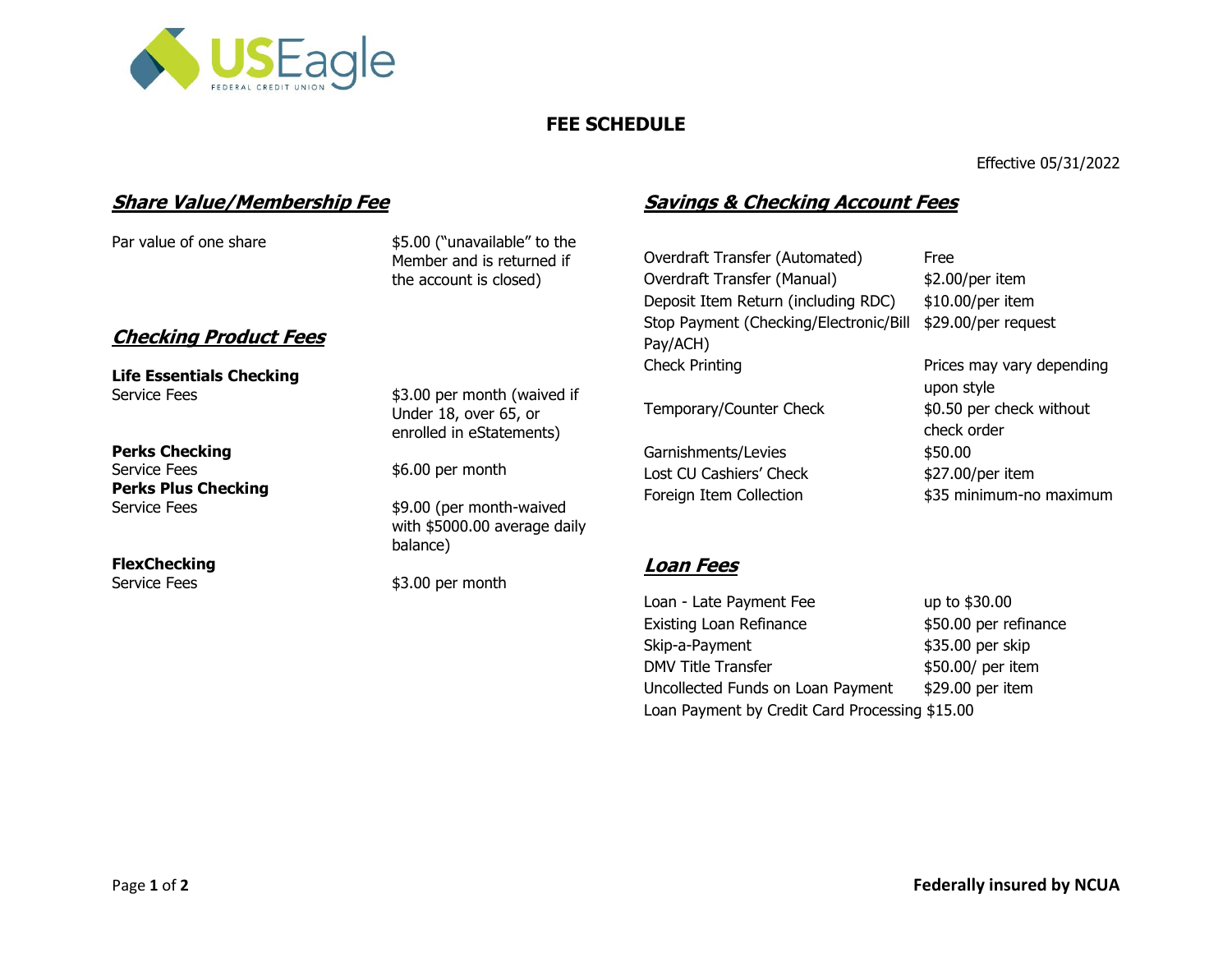

# **FEE SCHEDULE**

Effective 05/31/2022

## **Share Value/Membership Fee**

Par value of one share \$5.00 ("unavailable" to the Member and is returned if the account is closed)

## **Checking Product Fees**

**Life Essentials Checking** Service Fees \$3.00 per month (waived if

**Perks Checking** Service Fees  $$6.00$  per month **Perks Plus Checking** 

**FlexChecking**

Under 18, over 65, or enrolled in eStatements)

Service Fees \$9.00 (per month-waived with \$5000.00 average daily balance)

Service Fees \$3.00 per month

# **Savings & Checking Account Fees**

Overdraft Transfer (Automated) Free Overdraft Transfer (Manual) \$2.00/per item Deposit Item Return (including RDC) \$10.00/per item Stop Payment (Checking/Electronic/Bill \$29.00/per request Pay/ACH) Check Printing **Prices may vary depending** 

Temporary/Counter Check  $$0.50$  per check without

Garnishments/Levies \$50.00 Lost CU Cashiers' Check  $$27.00/per$  item

upon style check order Foreign Item Collection  $$35$  minimum-no maximum

## **Loan Fees**

Loan - Late Payment Fee up to \$30.00 Existing Loan Refinance \$50.00 per refinance Skip-a-Payment \$35.00 per skip DMV Title Transfer  $$50.00/$  per item Uncollected Funds on Loan Payment \$29.00 per item Loan Payment by Credit Card Processing \$15.00